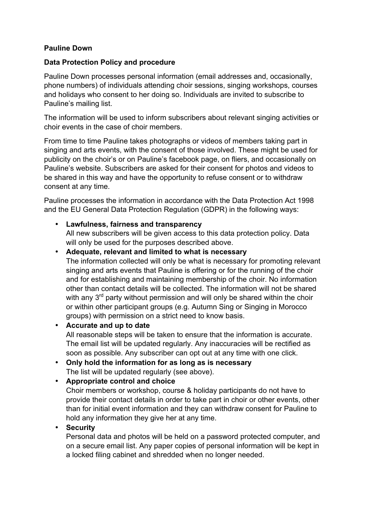## **Pauline Down**

### **Data Protection Policy and procedure**

Pauline Down processes personal information (email addresses and, occasionally, phone numbers) of individuals attending choir sessions, singing workshops, courses and holidays who consent to her doing so. Individuals are invited to subscribe to Pauline's mailing list.

The information will be used to inform subscribers about relevant singing activities or choir events in the case of choir members.

From time to time Pauline takes photographs or videos of members taking part in singing and arts events, with the consent of those involved. These might be used for publicity on the choir's or on Pauline's facebook page, on fliers, and occasionally on Pauline's website. Subscribers are asked for their consent for photos and videos to be shared in this way and have the opportunity to refuse consent or to withdraw consent at any time.

Pauline processes the information in accordance with the Data Protection Act 1998 and the EU General Data Protection Regulation (GDPR) in the following ways:

## • **Lawfulness, fairness and transparency**

All new subscribers will be given access to this data protection policy. Data will only be used for the purposes described above.

## • **Adequate, relevant and limited to what is necessary**

The information collected will only be what is necessary for promoting relevant singing and arts events that Pauline is offering or for the running of the choir and for establishing and maintaining membership of the choir. No information other than contact details will be collected. The information will not be shared with any  $3^{rd}$  party without permission and will only be shared within the choir or within other participant groups (e.g. Autumn Sing or Singing in Morocco groups) with permission on a strict need to know basis.

#### • **Accurate and up to date**

All reasonable steps will be taken to ensure that the information is accurate. The email list will be updated regularly. Any inaccuracies will be rectified as soon as possible. Any subscriber can opt out at any time with one click.

# • **Only hold the information for as long as is necessary**

The list will be updated regularly (see above).

## • **Appropriate control and choice**

Choir members or workshop, course & holiday participants do not have to provide their contact details in order to take part in choir or other events, other than for initial event information and they can withdraw consent for Pauline to hold any information they give her at any time.

### • **Security**

Personal data and photos will be held on a password protected computer, and on a secure email list. Any paper copies of personal information will be kept in a locked filing cabinet and shredded when no longer needed.